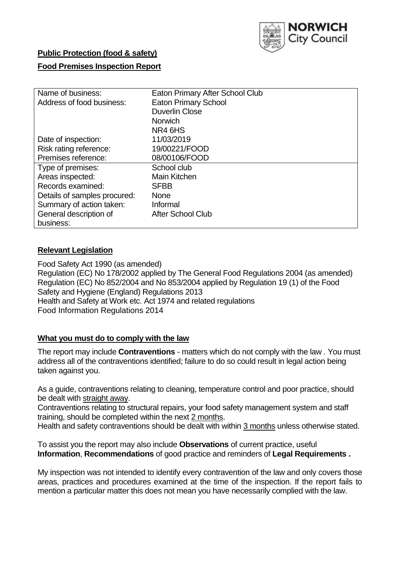

# **Public Protection (food & safety)**

#### **Food Premises Inspection Report**

| Name of business:            | Eaton Primary After School Club |
|------------------------------|---------------------------------|
| Address of food business:    | <b>Eaton Primary School</b>     |
|                              | <b>Duverlin Close</b>           |
|                              | <b>Norwich</b>                  |
|                              | NR4 6HS                         |
| Date of inspection:          | 11/03/2019                      |
| Risk rating reference:       | 19/00221/FOOD                   |
| Premises reference:          | 08/00106/FOOD                   |
| Type of premises:            | School club                     |
| Areas inspected:             | <b>Main Kitchen</b>             |
| Records examined:            | <b>SFBB</b>                     |
| Details of samples procured: | <b>None</b>                     |
| Summary of action taken:     | Informal                        |
| General description of       | <b>After School Club</b>        |
| business:                    |                                 |

## **Relevant Legislation**

Food Safety Act 1990 (as amended) Regulation (EC) No 178/2002 applied by The General Food Regulations 2004 (as amended) Regulation (EC) No 852/2004 and No 853/2004 applied by Regulation 19 (1) of the Food Safety and Hygiene (England) Regulations 2013 Health and Safety at Work etc. Act 1974 and related regulations Food Information Regulations 2014

#### **What you must do to comply with the law**

The report may include **Contraventions** - matters which do not comply with the law . You must address all of the contraventions identified; failure to do so could result in legal action being taken against you.

As a guide, contraventions relating to cleaning, temperature control and poor practice, should be dealt with straight away.

Contraventions relating to structural repairs, your food safety management system and staff training, should be completed within the next 2 months.

Health and safety contraventions should be dealt with within 3 months unless otherwise stated.

To assist you the report may also include **Observations** of current practice, useful **Information**, **Recommendations** of good practice and reminders of **Legal Requirements .**

My inspection was not intended to identify every contravention of the law and only covers those areas, practices and procedures examined at the time of the inspection. If the report fails to mention a particular matter this does not mean you have necessarily complied with the law.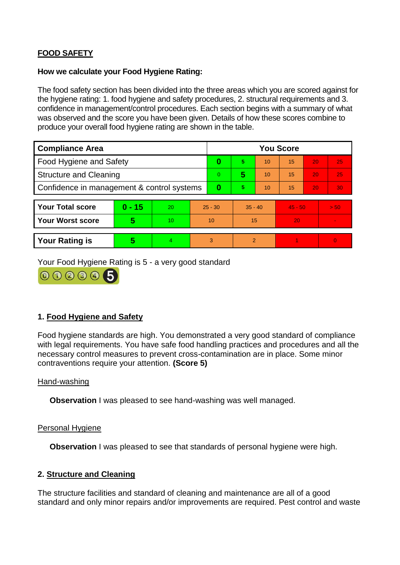## **FOOD SAFETY**

#### **How we calculate your Food Hygiene Rating:**

The food safety section has been divided into the three areas which you are scored against for the hygiene rating: 1. food hygiene and safety procedures, 2. structural requirements and 3. confidence in management/control procedures. Each section begins with a summary of what was observed and the score you have been given. Details of how these scores combine to produce your overall food hygiene rating are shown in the table.

| <b>Compliance Area</b>                     |          |    |                | <b>You Score</b> |                |    |           |    |                |  |  |
|--------------------------------------------|----------|----|----------------|------------------|----------------|----|-----------|----|----------------|--|--|
| Food Hygiene and Safety                    |          |    |                | 0                | 5              | 10 | 15        | 20 | 25             |  |  |
| <b>Structure and Cleaning</b>              |          |    | $\overline{0}$ | 5                | 10             | 15 | 20        | 25 |                |  |  |
| Confidence in management & control systems |          |    | 0              | 5                | 10             | 15 | 20        | 30 |                |  |  |
|                                            |          |    |                |                  |                |    |           |    |                |  |  |
| <b>Your Total score</b>                    | $0 - 15$ | 20 | $25 - 30$      |                  | $35 - 40$      |    | $45 - 50$ |    | > 50           |  |  |
| <b>Your Worst score</b>                    | 5        | 10 | 10             |                  | 15             |    | 20        |    | $\blacksquare$ |  |  |
|                                            |          |    |                |                  |                |    |           |    |                |  |  |
| <b>Your Rating is</b>                      | 5        | 4  | 3              |                  | $\overline{2}$ |    |           |    | $\Omega$       |  |  |

Your Food Hygiene Rating is 5 - a very good standard



## **1. Food Hygiene and Safety**

Food hygiene standards are high. You demonstrated a very good standard of compliance with legal requirements. You have safe food handling practices and procedures and all the necessary control measures to prevent cross-contamination are in place. Some minor contraventions require your attention. **(Score 5)**

#### Hand-washing

**Observation** I was pleased to see hand-washing was well managed.

#### Personal Hygiene

**Observation** I was pleased to see that standards of personal hygiene were high.

#### **2. Structure and Cleaning**

The structure facilities and standard of cleaning and maintenance are all of a good standard and only minor repairs and/or improvements are required. Pest control and waste